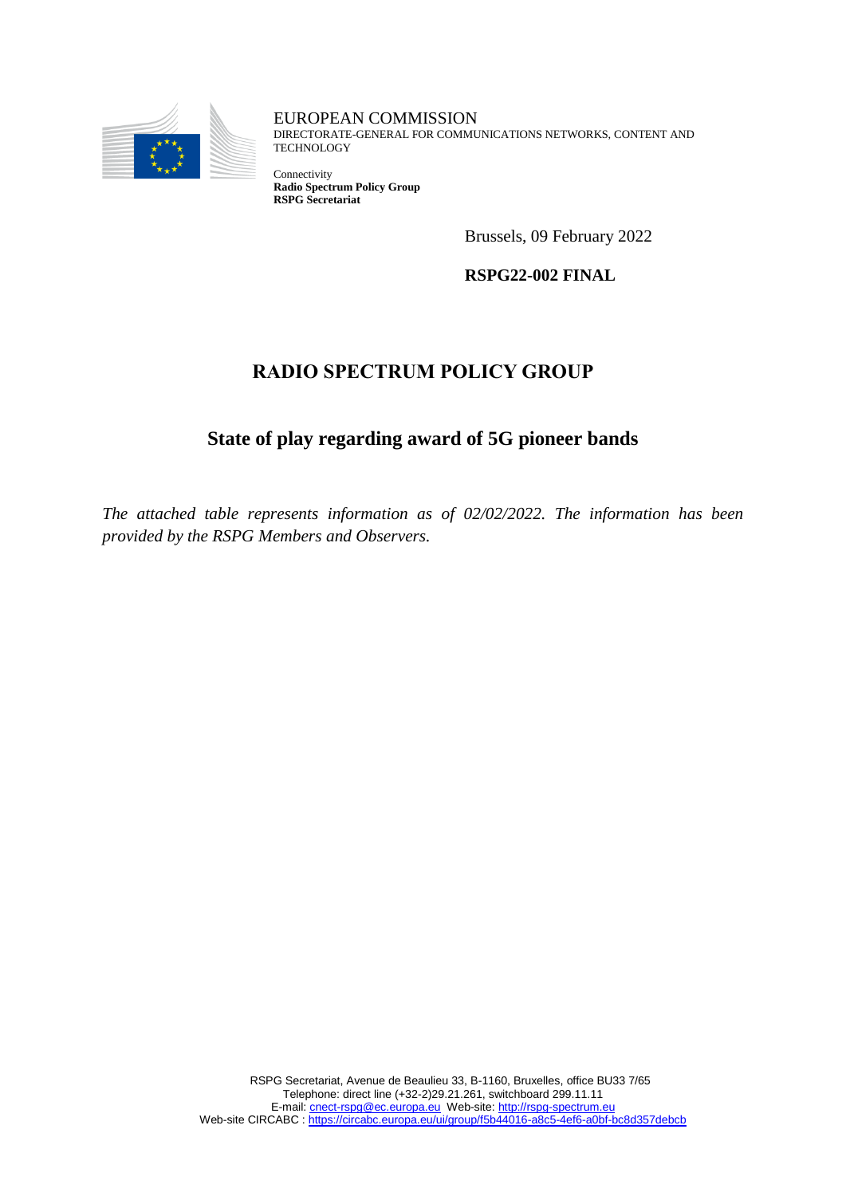

EUROPEAN COMMISSION DIRECTORATE-GENERAL FOR COMMUNICATIONS NETWORKS, CONTENT AND **TECHNOLOGY** 

Connectivity **Radio Spectrum Policy Group RSPG Secretariat**

Brussels, 09 February 2022

**RSPG22-002 FINAL**

## **RADIO SPECTRUM POLICY GROUP**

## **State of play regarding award of 5G pioneer bands**

*The attached table represents information as of 02/02/2022. The information has been provided by the RSPG Members and Observers.*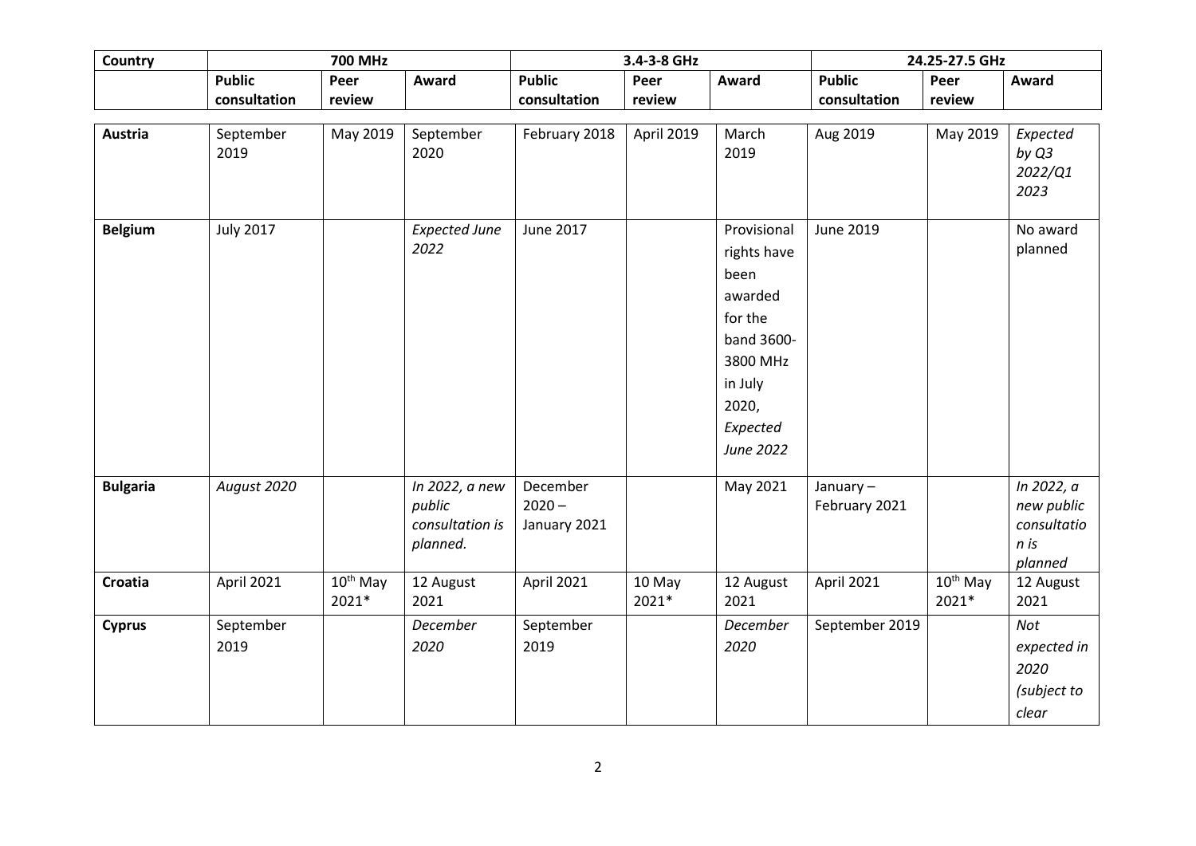| <b>Country</b>  |                  | <b>700 MHz</b> |                           |                          | 3.4-3-8 GHz | 24.25-27.5 GHz  |                |                      |                           |
|-----------------|------------------|----------------|---------------------------|--------------------------|-------------|-----------------|----------------|----------------------|---------------------------|
|                 | <b>Public</b>    | Peer           | Award                     | <b>Public</b>            | Peer        | Award           | <b>Public</b>  | Peer                 | Award                     |
|                 | consultation     | review         |                           | consultation             | review      |                 | consultation   | review               |                           |
|                 |                  |                |                           |                          |             |                 |                |                      |                           |
| <b>Austria</b>  | September        | May 2019       | September                 | February 2018            | April 2019  | March           | Aug 2019       | May 2019             | Expected                  |
|                 | 2019             |                | 2020                      |                          |             | 2019            |                |                      | by Q3<br>2022/Q1          |
|                 |                  |                |                           |                          |             |                 |                |                      | 2023                      |
|                 |                  |                |                           |                          |             |                 |                |                      |                           |
| <b>Belgium</b>  | <b>July 2017</b> |                | <b>Expected June</b>      | June 2017                |             | Provisional     | June 2019      |                      | No award                  |
|                 |                  |                | 2022                      |                          |             | rights have     |                |                      | planned                   |
|                 |                  |                |                           |                          |             | been            |                |                      |                           |
|                 |                  |                |                           |                          |             | awarded         |                |                      |                           |
|                 |                  |                |                           |                          |             | for the         |                |                      |                           |
|                 |                  |                |                           |                          |             | band 3600-      |                |                      |                           |
|                 |                  |                |                           |                          |             | 3800 MHz        |                |                      |                           |
|                 |                  |                |                           |                          |             | in July         |                |                      |                           |
|                 |                  |                |                           |                          |             | 2020,           |                |                      |                           |
|                 |                  |                |                           |                          |             | Expected        |                |                      |                           |
|                 |                  |                |                           |                          |             | June 2022       |                |                      |                           |
|                 |                  |                |                           |                          |             |                 |                |                      |                           |
| <b>Bulgaria</b> | August 2020      |                | In 2022, a new            | December                 |             | May 2021        | January-       |                      | In 2022, a                |
|                 |                  |                | public<br>consultation is | $2020 -$<br>January 2021 |             |                 | February 2021  |                      | new public<br>consultatio |
|                 |                  |                | planned.                  |                          |             |                 |                |                      | n is                      |
|                 |                  |                |                           |                          |             |                 |                |                      | planned                   |
| Croatia         | April 2021       | $10^{th}$ May  | 12 August                 | April 2021               | 10 May      | 12 August       | April 2021     | 10 <sup>th</sup> May | 12 August                 |
|                 |                  | 2021*          | 2021                      |                          | 2021*       | 2021            |                | 2021*                | 2021                      |
| <b>Cyprus</b>   | September        |                | December                  | September                |             | <b>December</b> | September 2019 |                      | Not                       |
|                 | 2019             |                | 2020                      | 2019                     |             | 2020            |                |                      | expected in               |
|                 |                  |                |                           |                          |             |                 |                |                      | 2020                      |
|                 |                  |                |                           |                          |             |                 |                |                      | (subject to               |
|                 |                  |                |                           |                          |             |                 |                |                      | clear                     |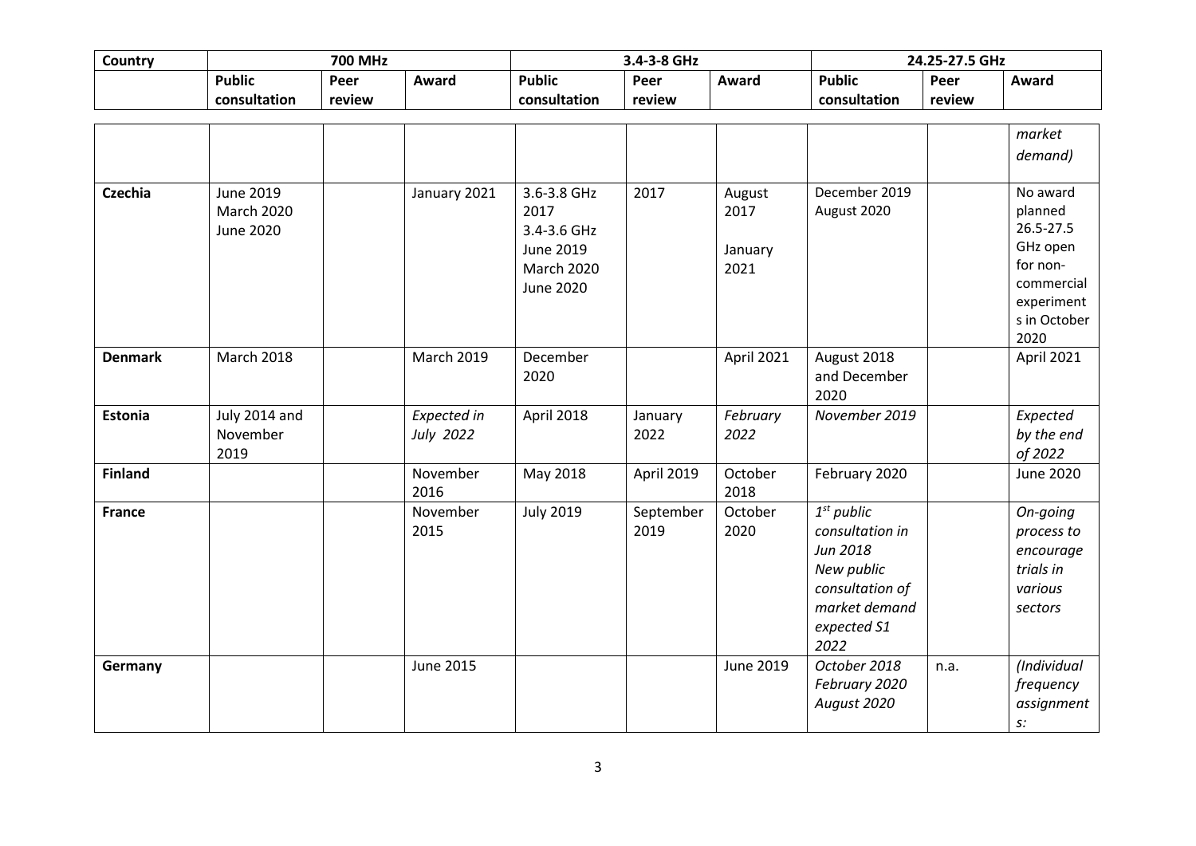| Country        | <b>700 MHz</b>                 |        |                   |                     | 3.4-3-8 GHz |                |                 | 24.25-27.5 GHz |                  |
|----------------|--------------------------------|--------|-------------------|---------------------|-------------|----------------|-----------------|----------------|------------------|
|                | <b>Public</b>                  | Peer   | Award             | <b>Public</b>       | Peer        | Award          | <b>Public</b>   | Peer           | Award            |
|                | consultation                   | review |                   | consultation        | review      |                | consultation    | review         |                  |
|                |                                |        |                   |                     |             |                |                 |                |                  |
|                |                                |        |                   |                     |             |                |                 |                | market           |
|                |                                |        |                   |                     |             |                |                 |                | demand)          |
|                |                                |        |                   |                     |             |                | December 2019   |                | No award         |
| <b>Czechia</b> | June 2019<br><b>March 2020</b> |        | January 2021      | 3.6-3.8 GHz<br>2017 | 2017        | August<br>2017 | August 2020     |                | planned          |
|                | <b>June 2020</b>               |        |                   | 3.4-3.6 GHz         |             |                |                 |                | 26.5-27.5        |
|                |                                |        |                   | June 2019           |             | January        |                 |                | GHz open         |
|                |                                |        |                   | <b>March 2020</b>   |             | 2021           |                 |                | for non-         |
|                |                                |        |                   | <b>June 2020</b>    |             |                |                 |                | commercial       |
|                |                                |        |                   |                     |             |                |                 |                | experiment       |
|                |                                |        |                   |                     |             |                |                 |                | s in October     |
|                |                                |        |                   |                     |             |                |                 |                | 2020             |
| <b>Denmark</b> | <b>March 2018</b>              |        | <b>March 2019</b> | December            |             | April 2021     | August 2018     |                | April 2021       |
|                |                                |        |                   | 2020                |             |                | and December    |                |                  |
|                |                                |        |                   |                     |             |                | 2020            |                |                  |
| <b>Estonia</b> | July 2014 and                  |        | Expected in       | April 2018          | January     | February       | November 2019   |                | Expected         |
|                | November                       |        | July 2022         |                     | 2022        | 2022           |                 |                | by the end       |
|                | 2019                           |        |                   |                     |             |                |                 |                | of 2022          |
| <b>Finland</b> |                                |        | November          | May 2018            | April 2019  | October        | February 2020   |                | <b>June 2020</b> |
|                |                                |        | 2016              |                     |             | 2018           |                 |                |                  |
| <b>France</b>  |                                |        | November          | <b>July 2019</b>    | September   | October        | $1st$ public    |                | On-going         |
|                |                                |        | 2015              |                     | 2019        | 2020           | consultation in |                | process to       |
|                |                                |        |                   |                     |             |                | Jun 2018        |                | encourage        |
|                |                                |        |                   |                     |             |                | New public      |                | trials in        |
|                |                                |        |                   |                     |             |                | consultation of |                | various          |
|                |                                |        |                   |                     |             |                | market demand   |                | sectors          |
|                |                                |        |                   |                     |             |                | expected S1     |                |                  |
|                |                                |        |                   |                     |             |                | 2022            |                |                  |
| Germany        |                                |        | June 2015         |                     |             | June 2019      | October 2018    | n.a.           | (Individual      |
|                |                                |        |                   |                     |             |                | February 2020   |                | frequency        |
|                |                                |        |                   |                     |             |                | August 2020     |                | assignment       |
|                |                                |        |                   |                     |             |                |                 |                | s:               |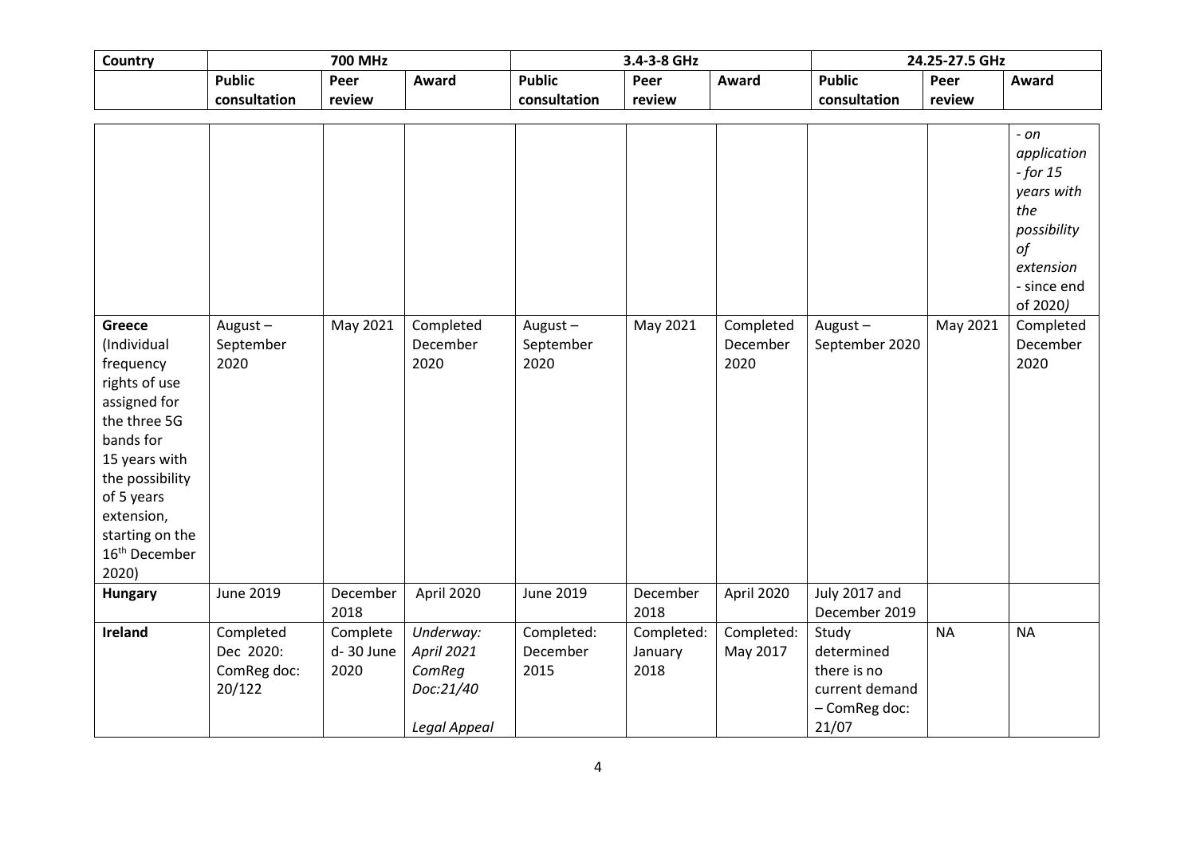| Country                                                                                                                                                                                                                   | <b>700 MHz</b>                                  |                               |                                                                | 3.4-3-8 GHz<br>24.25-27.5 GHz   |                               |                               |                                                                                |           |                                                                                                                     |
|---------------------------------------------------------------------------------------------------------------------------------------------------------------------------------------------------------------------------|-------------------------------------------------|-------------------------------|----------------------------------------------------------------|---------------------------------|-------------------------------|-------------------------------|--------------------------------------------------------------------------------|-----------|---------------------------------------------------------------------------------------------------------------------|
|                                                                                                                                                                                                                           | <b>Public</b>                                   | Peer                          | Award                                                          | <b>Public</b>                   | Peer                          | Award                         | <b>Public</b>                                                                  | Peer      | Award                                                                                                               |
|                                                                                                                                                                                                                           | consultation                                    | review                        |                                                                | consultation                    | review                        |                               | consultation                                                                   | review    |                                                                                                                     |
|                                                                                                                                                                                                                           |                                                 |                               |                                                                |                                 |                               |                               |                                                                                |           |                                                                                                                     |
|                                                                                                                                                                                                                           |                                                 |                               |                                                                |                                 |                               |                               |                                                                                |           | - on<br>application<br>$-$ for 15<br>years with<br>the<br>possibility<br>of<br>extension<br>- since end<br>of 2020) |
| Greece<br>(Individual<br>frequency<br>rights of use<br>assigned for<br>the three 5G<br>bands for<br>15 years with<br>the possibility<br>of 5 years<br>extension,<br>starting on the<br>16 <sup>th</sup> December<br>2020) | August $-$<br>September<br>2020                 | May 2021                      | Completed<br>December<br>2020                                  | August $-$<br>September<br>2020 | May 2021                      | Completed<br>December<br>2020 | August-<br>September 2020                                                      | May 2021  | Completed<br>December<br>2020                                                                                       |
| Hungary                                                                                                                                                                                                                   | June 2019                                       | December<br>2018              | April 2020                                                     | <b>June 2019</b>                | December<br>2018              | April 2020                    | July 2017 and<br>December 2019                                                 |           |                                                                                                                     |
| Ireland                                                                                                                                                                                                                   | Completed<br>Dec 2020:<br>ComReg doc:<br>20/122 | Complete<br>d-30 June<br>2020 | Underway:<br>April 2021<br>ComReg<br>Doc:21/40<br>Legal Appeal | Completed:<br>December<br>2015  | Completed:<br>January<br>2018 | Completed:<br>May 2017        | Study<br>determined<br>there is no<br>current demand<br>- ComReg doc:<br>21/07 | <b>NA</b> | <b>NA</b>                                                                                                           |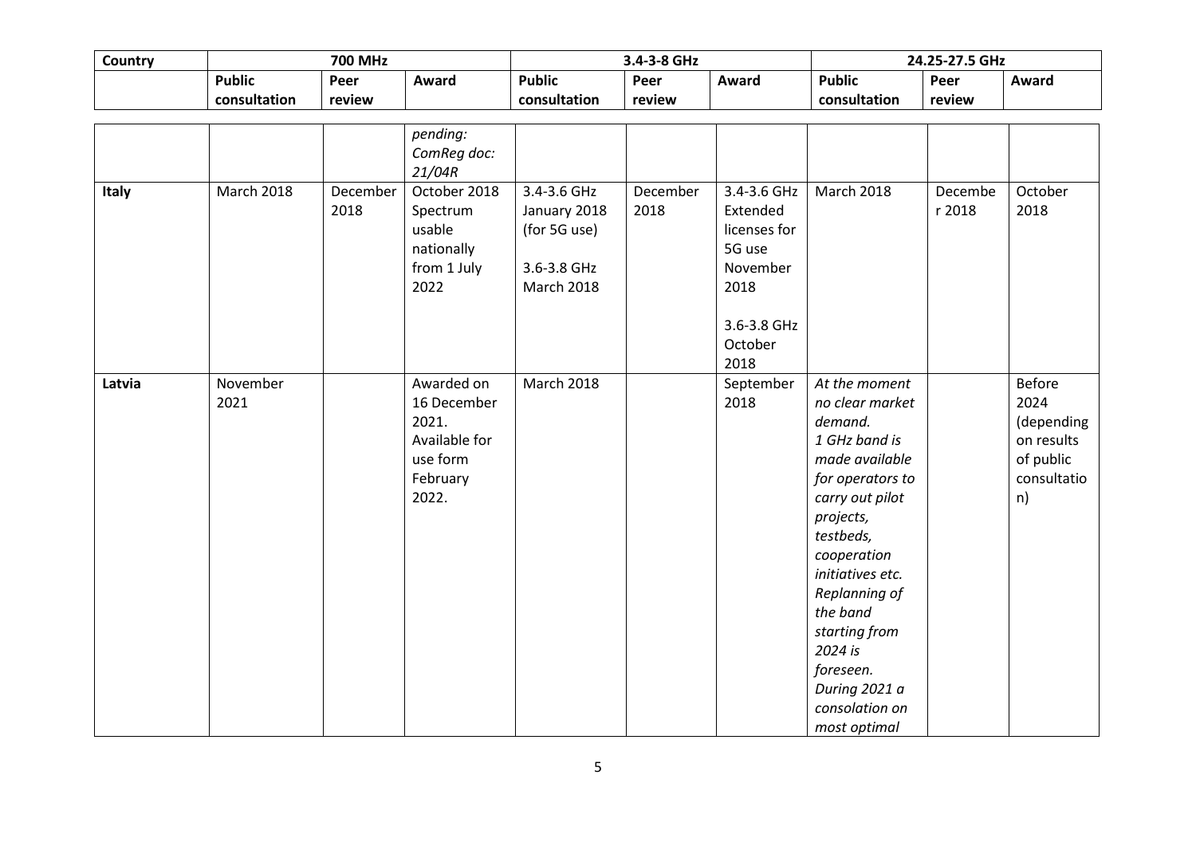| Country | <b>700 MHz</b>                |                  |                                                                                      |                                                                                 | 3.4-3-8 GHz      |                                                                                                         |                                                                                                                                                                                                                                                                                                             | 24.25-27.5 GHz    |                                                                                     |
|---------|-------------------------------|------------------|--------------------------------------------------------------------------------------|---------------------------------------------------------------------------------|------------------|---------------------------------------------------------------------------------------------------------|-------------------------------------------------------------------------------------------------------------------------------------------------------------------------------------------------------------------------------------------------------------------------------------------------------------|-------------------|-------------------------------------------------------------------------------------|
|         | <b>Public</b><br>consultation | Peer<br>review   | Award                                                                                | <b>Public</b><br>consultation                                                   | Peer<br>review   | Award                                                                                                   | <b>Public</b><br>consultation                                                                                                                                                                                                                                                                               | Peer<br>review    | Award                                                                               |
|         |                               |                  | pending:<br>ComReg doc:<br>21/04R                                                    |                                                                                 |                  |                                                                                                         |                                                                                                                                                                                                                                                                                                             |                   |                                                                                     |
| Italy   | <b>March 2018</b>             | December<br>2018 | October 2018<br>Spectrum<br>usable<br>nationally<br>from 1 July<br>2022              | 3.4-3.6 GHz<br>January 2018<br>(for 5G use)<br>3.6-3.8 GHz<br><b>March 2018</b> | December<br>2018 | 3.4-3.6 GHz<br>Extended<br>licenses for<br>5G use<br>November<br>2018<br>3.6-3.8 GHz<br>October<br>2018 | <b>March 2018</b>                                                                                                                                                                                                                                                                                           | Decembe<br>r 2018 | October<br>2018                                                                     |
| Latvia  | November<br>2021              |                  | Awarded on<br>16 December<br>2021.<br>Available for<br>use form<br>February<br>2022. | <b>March 2018</b>                                                               |                  | September<br>2018                                                                                       | At the moment<br>no clear market<br>demand.<br>1 GHz band is<br>made available<br>for operators to<br>carry out pilot<br>projects,<br>testbeds,<br>cooperation<br>initiatives etc.<br>Replanning of<br>the band<br>starting from<br>2024 is<br>foreseen.<br>During 2021 a<br>consolation on<br>most optimal |                   | <b>Before</b><br>2024<br>(depending<br>on results<br>of public<br>consultatio<br>n) |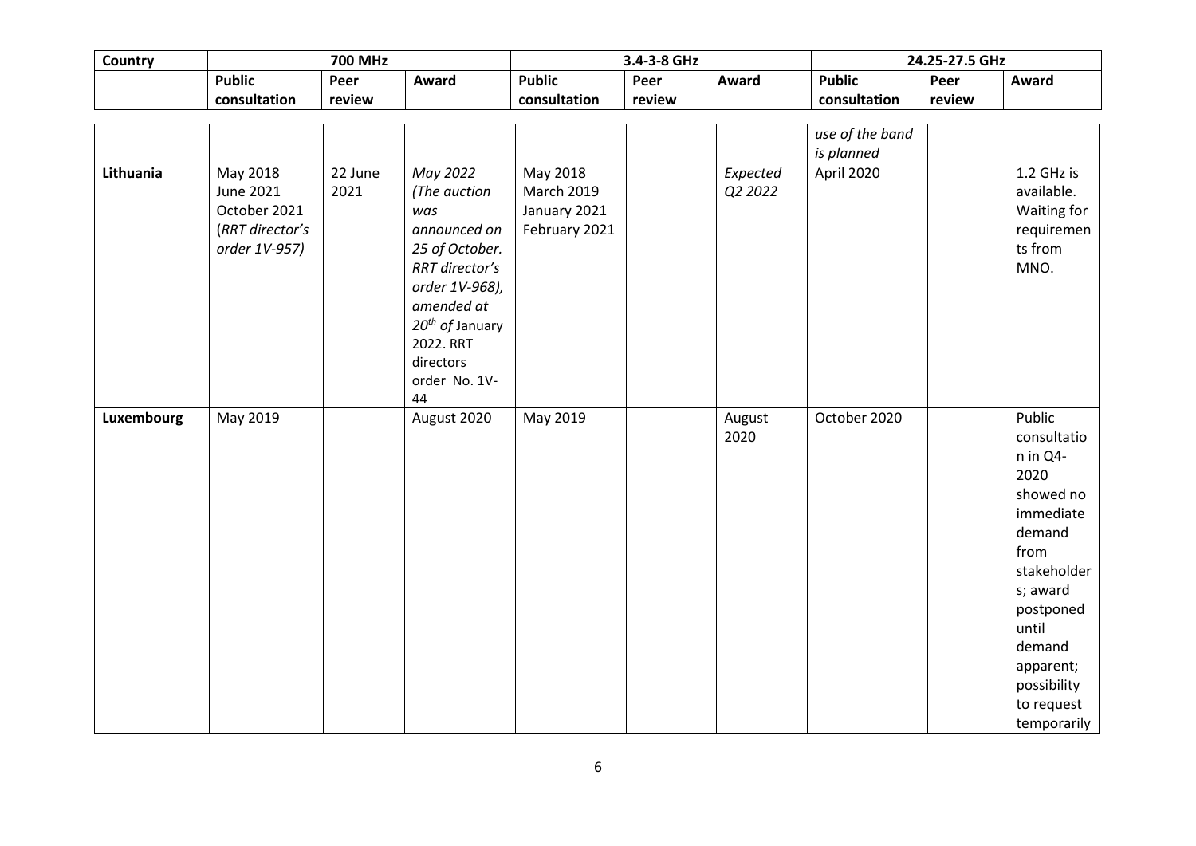| Country    | <b>700 MHz</b>                                                            |                 |                                                                                                                                                                                        |                                                                | 3.4-3-8 GHz |                     |                 | 24.25-27.5 GHz |                                                                                                                                                                                                           |
|------------|---------------------------------------------------------------------------|-----------------|----------------------------------------------------------------------------------------------------------------------------------------------------------------------------------------|----------------------------------------------------------------|-------------|---------------------|-----------------|----------------|-----------------------------------------------------------------------------------------------------------------------------------------------------------------------------------------------------------|
|            | <b>Public</b>                                                             | Peer            | Award                                                                                                                                                                                  | <b>Public</b>                                                  | Peer        | Award               | <b>Public</b>   | Peer           | Award                                                                                                                                                                                                     |
|            | consultation                                                              | review          |                                                                                                                                                                                        | consultation                                                   | review      |                     | consultation    | review         |                                                                                                                                                                                                           |
|            |                                                                           |                 |                                                                                                                                                                                        |                                                                |             |                     |                 |                |                                                                                                                                                                                                           |
|            |                                                                           |                 |                                                                                                                                                                                        |                                                                |             |                     | use of the band |                |                                                                                                                                                                                                           |
|            |                                                                           |                 |                                                                                                                                                                                        |                                                                |             |                     | is planned      |                |                                                                                                                                                                                                           |
| Lithuania  | May 2018<br>June 2021<br>October 2021<br>(RRT director's<br>order 1V-957) | 22 June<br>2021 | May 2022<br>(The auction<br>was<br>announced on<br>25 of October.<br>RRT director's<br>order 1V-968),<br>amended at<br>$20^{th}$ of January<br>2022. RRT<br>directors<br>order No. 1V- | May 2018<br><b>March 2019</b><br>January 2021<br>February 2021 |             | Expected<br>Q2 2022 | April 2020      |                | 1.2 GHz is<br>available.<br>Waiting for<br>requiremen<br>ts from<br>MNO.                                                                                                                                  |
|            |                                                                           |                 | 44                                                                                                                                                                                     |                                                                |             |                     |                 |                |                                                                                                                                                                                                           |
| Luxembourg | May 2019                                                                  |                 | August 2020                                                                                                                                                                            | May 2019                                                       |             | August<br>2020      | October 2020    |                | Public<br>consultatio<br>n in Q4-<br>2020<br>showed no<br>immediate<br>demand<br>from<br>stakeholder<br>s; award<br>postponed<br>until<br>demand<br>apparent;<br>possibility<br>to request<br>temporarily |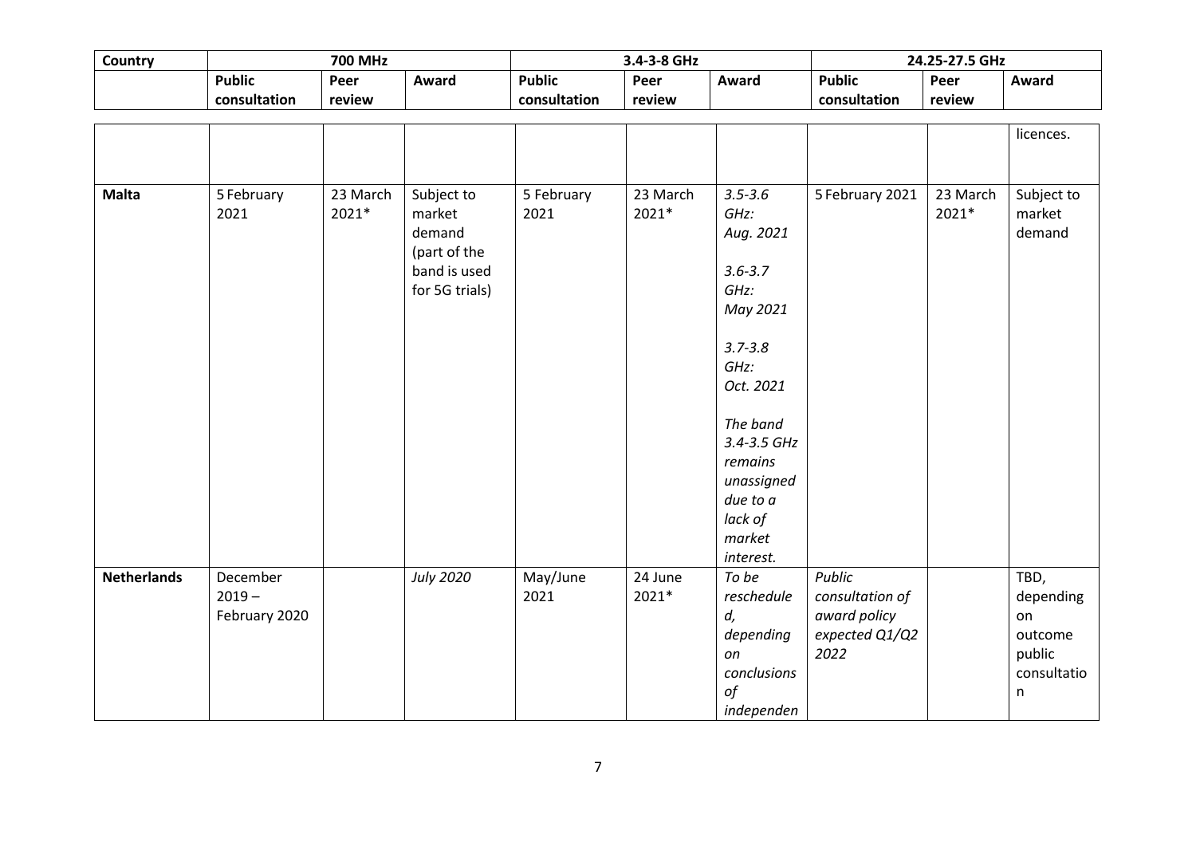| Country            | <b>700 MHz</b> |          |                  |               | 3.4-3-8 GHz |             | 24.25-27.5 GHz  |          |             |
|--------------------|----------------|----------|------------------|---------------|-------------|-------------|-----------------|----------|-------------|
|                    | <b>Public</b>  | Peer     | Award            | <b>Public</b> | Peer        | Award       | <b>Public</b>   | Peer     | Award       |
|                    | consultation   | review   |                  | consultation  | review      |             | consultation    | review   |             |
|                    |                |          |                  |               |             |             |                 |          |             |
|                    |                |          |                  |               |             |             |                 |          | licences.   |
|                    |                |          |                  |               |             |             |                 |          |             |
|                    |                |          |                  |               |             |             |                 |          |             |
| <b>Malta</b>       | 5 February     | 23 March | Subject to       | 5 February    | 23 March    | $3.5 - 3.6$ | 5 February 2021 | 23 March | Subject to  |
|                    | 2021           | 2021*    | market           | 2021          | 2021*       | GHz:        |                 | 2021*    | market      |
|                    |                |          | demand           |               |             | Aug. 2021   |                 |          | demand      |
|                    |                |          | (part of the     |               |             |             |                 |          |             |
|                    |                |          | band is used     |               |             | $3.6 - 3.7$ |                 |          |             |
|                    |                |          | for 5G trials)   |               |             | GHz:        |                 |          |             |
|                    |                |          |                  |               |             | May 2021    |                 |          |             |
|                    |                |          |                  |               |             | $3.7 - 3.8$ |                 |          |             |
|                    |                |          |                  |               |             | GHz:        |                 |          |             |
|                    |                |          |                  |               |             | Oct. 2021   |                 |          |             |
|                    |                |          |                  |               |             |             |                 |          |             |
|                    |                |          |                  |               |             | The band    |                 |          |             |
|                    |                |          |                  |               |             | 3.4-3.5 GHz |                 |          |             |
|                    |                |          |                  |               |             | remains     |                 |          |             |
|                    |                |          |                  |               |             | unassigned  |                 |          |             |
|                    |                |          |                  |               |             | due to a    |                 |          |             |
|                    |                |          |                  |               |             | lack of     |                 |          |             |
|                    |                |          |                  |               |             | market      |                 |          |             |
|                    |                |          |                  |               |             | interest.   |                 |          |             |
| <b>Netherlands</b> | December       |          | <b>July 2020</b> | May/June      | 24 June     | To be       | <b>Public</b>   |          | TBD,        |
|                    | $2019 -$       |          |                  | 2021          | 2021*       | reschedule  | consultation of |          | depending   |
|                    | February 2020  |          |                  |               |             | d,          | award policy    |          | on          |
|                    |                |          |                  |               |             | depending   | expected Q1/Q2  |          | outcome     |
|                    |                |          |                  |               |             | on          | 2022            |          | public      |
|                    |                |          |                  |               |             | conclusions |                 |          | consultatio |
|                    |                |          |                  |               |             | of          |                 |          | n           |
|                    |                |          |                  |               |             | independen  |                 |          |             |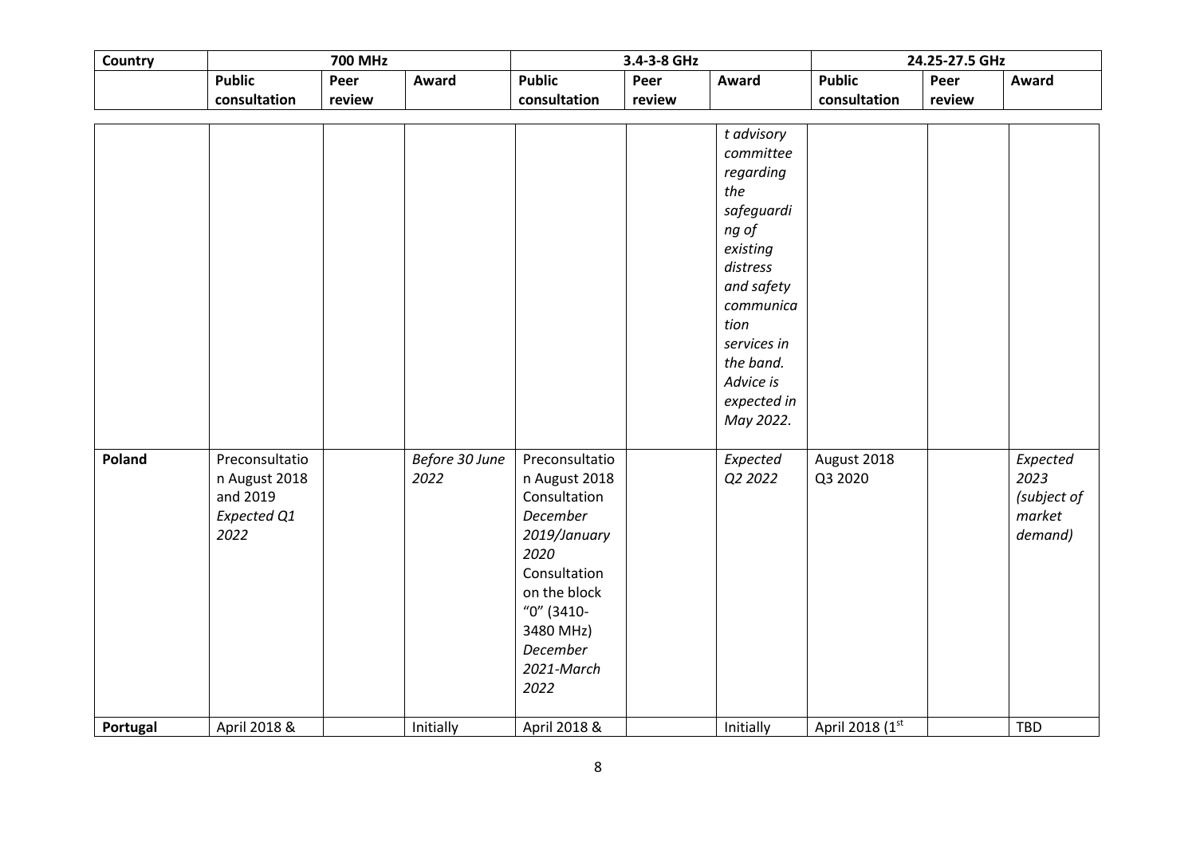| Country  | <b>700 MHz</b>                                                     |        |                        |                                                                                                                                                                                  | 3.4-3-8 GHz |                                                                                                                                                                                                    | 24.25-27.5 GHz         |        |                                                      |  |
|----------|--------------------------------------------------------------------|--------|------------------------|----------------------------------------------------------------------------------------------------------------------------------------------------------------------------------|-------------|----------------------------------------------------------------------------------------------------------------------------------------------------------------------------------------------------|------------------------|--------|------------------------------------------------------|--|
|          | <b>Public</b>                                                      | Peer   | Award                  | <b>Public</b>                                                                                                                                                                    | Peer        | Award                                                                                                                                                                                              | <b>Public</b>          | Peer   | Award                                                |  |
|          | consultation                                                       | review |                        | consultation                                                                                                                                                                     | review      |                                                                                                                                                                                                    | consultation           | review |                                                      |  |
|          |                                                                    |        |                        |                                                                                                                                                                                  |             |                                                                                                                                                                                                    |                        |        |                                                      |  |
|          |                                                                    |        |                        |                                                                                                                                                                                  |             | t advisory<br>committee<br>regarding<br>the<br>safeguardi<br>ng of<br>existing<br>distress<br>and safety<br>communica<br>tion<br>services in<br>the band.<br>Advice is<br>expected in<br>May 2022. |                        |        |                                                      |  |
| Poland   | Preconsultatio<br>n August 2018<br>and 2019<br>Expected Q1<br>2022 |        | Before 30 June<br>2022 | Preconsultatio<br>n August 2018<br>Consultation<br>December<br>2019/January<br>2020<br>Consultation<br>on the block<br>"0" (3410-<br>3480 MHz)<br>December<br>2021-March<br>2022 |             | Expected<br>Q2 2022                                                                                                                                                                                | August 2018<br>Q3 2020 |        | Expected<br>2023<br>(subject of<br>market<br>demand) |  |
| Portugal | April 2018 &                                                       |        | Initially              | April 2018 &                                                                                                                                                                     |             | Initially                                                                                                                                                                                          | April 2018 (1st        |        | TBD                                                  |  |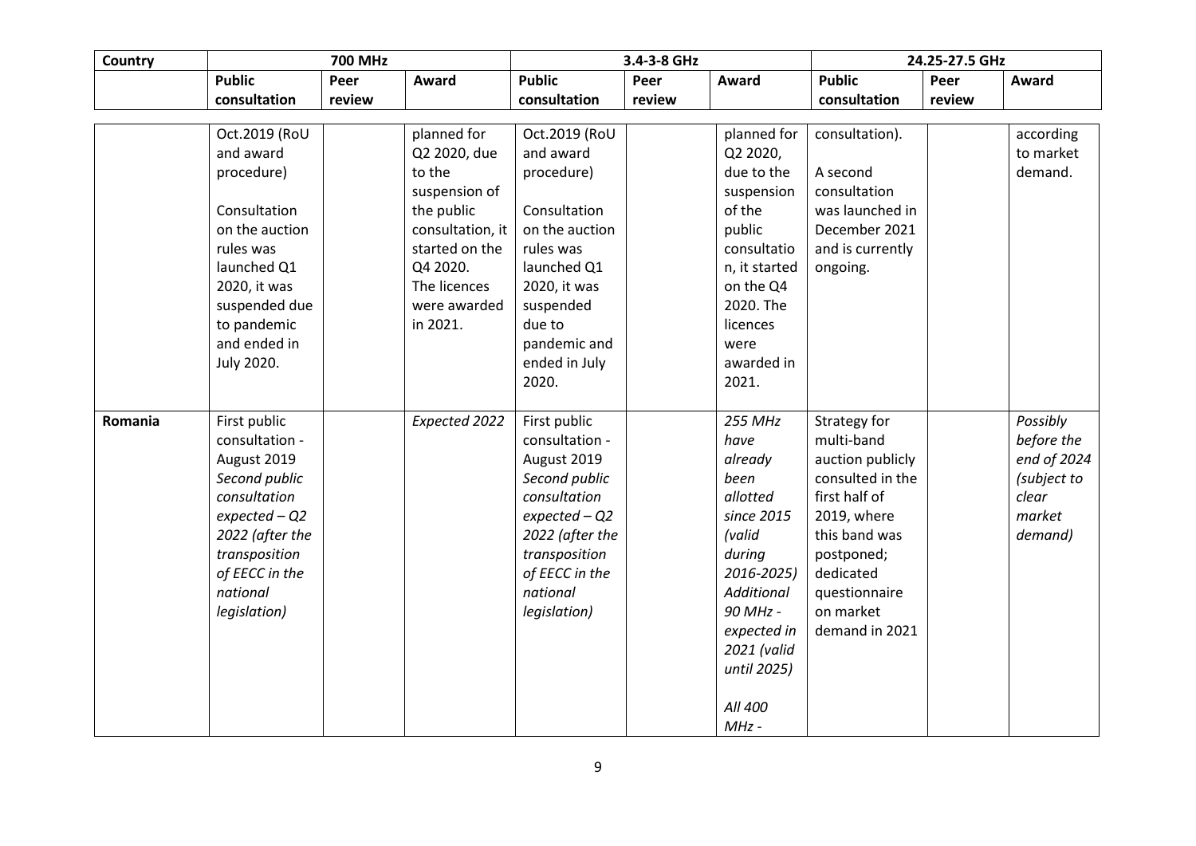| Country | <b>700 MHz</b>  |        |                  | 3.4-3-8 GHz     |        |                   | 24.25-27.5 GHz   |        |             |
|---------|-----------------|--------|------------------|-----------------|--------|-------------------|------------------|--------|-------------|
|         | <b>Public</b>   | Peer   | Award            | <b>Public</b>   | Peer   | Award             | <b>Public</b>    | Peer   | Award       |
|         | consultation    | review |                  | consultation    | review |                   | consultation     | review |             |
|         |                 |        |                  |                 |        |                   |                  |        |             |
|         | Oct.2019 (RoU   |        | planned for      | Oct.2019 (RoU   |        | planned for       | consultation).   |        | according   |
|         | and award       |        | Q2 2020, due     | and award       |        | Q2 2020,          |                  |        | to market   |
|         | procedure)      |        | to the           | procedure)      |        | due to the        | A second         |        | demand.     |
|         |                 |        | suspension of    |                 |        | suspension        | consultation     |        |             |
|         | Consultation    |        | the public       | Consultation    |        | of the            | was launched in  |        |             |
|         | on the auction  |        | consultation, it | on the auction  |        | public            | December 2021    |        |             |
|         | rules was       |        | started on the   | rules was       |        | consultatio       | and is currently |        |             |
|         | launched Q1     |        | Q4 2020.         | launched Q1     |        | n, it started     | ongoing.         |        |             |
|         | 2020, it was    |        | The licences     | 2020, it was    |        | on the Q4         |                  |        |             |
|         | suspended due   |        | were awarded     | suspended       |        | 2020. The         |                  |        |             |
|         | to pandemic     |        | in 2021.         | due to          |        | licences          |                  |        |             |
|         | and ended in    |        |                  | pandemic and    |        | were              |                  |        |             |
|         | July 2020.      |        |                  | ended in July   |        | awarded in        |                  |        |             |
|         |                 |        |                  | 2020.           |        | 2021.             |                  |        |             |
|         |                 |        |                  |                 |        |                   |                  |        |             |
| Romania | First public    |        | Expected 2022    | First public    |        | <b>255 MHz</b>    | Strategy for     |        | Possibly    |
|         | consultation -  |        |                  | consultation -  |        | have              | multi-band       |        | before the  |
|         | August 2019     |        |                  | August 2019     |        | already           | auction publicly |        | end of 2024 |
|         | Second public   |        |                  | Second public   |        | been              | consulted in the |        | (subject to |
|         | consultation    |        |                  | consultation    |        | allotted          | first half of    |        | clear       |
|         | $expected - Q2$ |        |                  | $expected - Q2$ |        | since 2015        | 2019, where      |        | market      |
|         | 2022 (after the |        |                  | 2022 (after the |        | (valid            | this band was    |        | demand)     |
|         | transposition   |        |                  | transposition   |        | during            | postponed;       |        |             |
|         | of EECC in the  |        |                  | of EECC in the  |        | 2016-2025)        | dedicated        |        |             |
|         | national        |        |                  | national        |        | <b>Additional</b> | questionnaire    |        |             |
|         | legislation)    |        |                  | legislation)    |        | 90 MHz -          | on market        |        |             |
|         |                 |        |                  |                 |        | expected in       | demand in 2021   |        |             |
|         |                 |        |                  |                 |        | 2021 (valid       |                  |        |             |
|         |                 |        |                  |                 |        | until 2025)       |                  |        |             |
|         |                 |        |                  |                 |        |                   |                  |        |             |
|         |                 |        |                  |                 |        | All 400           |                  |        |             |
|         |                 |        |                  |                 |        | $MHz -$           |                  |        |             |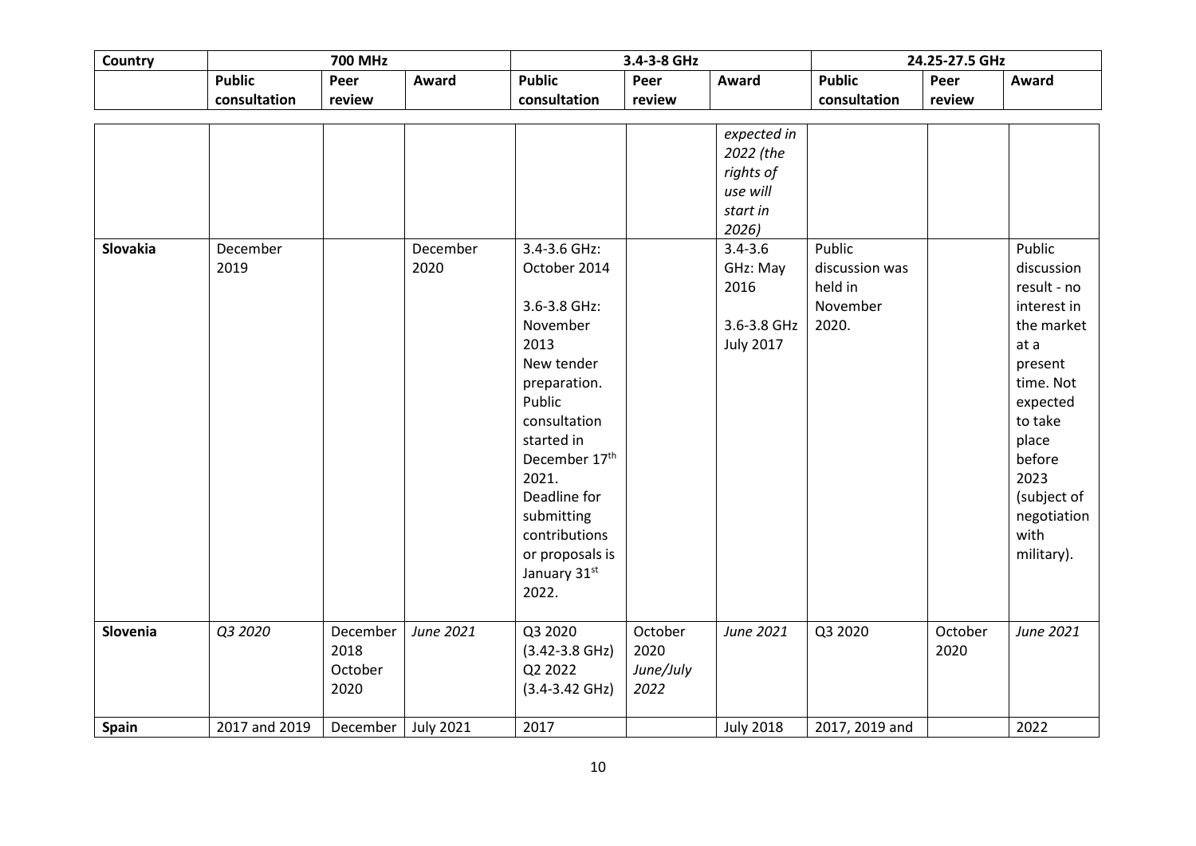| Country  | <b>700 MHz</b>   |                                     |                  |                                                                                                                                                                                                                                                             | 3.4-3-8 GHz                          |                                                                                                                                              |                                                          | 24.25-27.5 GHz  |                                                                                                                                                                                                        |
|----------|------------------|-------------------------------------|------------------|-------------------------------------------------------------------------------------------------------------------------------------------------------------------------------------------------------------------------------------------------------------|--------------------------------------|----------------------------------------------------------------------------------------------------------------------------------------------|----------------------------------------------------------|-----------------|--------------------------------------------------------------------------------------------------------------------------------------------------------------------------------------------------------|
|          | <b>Public</b>    | Peer                                | Award            | <b>Public</b>                                                                                                                                                                                                                                               | Peer                                 | Award                                                                                                                                        | <b>Public</b>                                            | Peer            | Award                                                                                                                                                                                                  |
|          | consultation     | review                              |                  | consultation                                                                                                                                                                                                                                                | review                               |                                                                                                                                              | consultation                                             | review          |                                                                                                                                                                                                        |
| Slovakia | December<br>2019 |                                     | December<br>2020 | 3.4-3.6 GHz:<br>October 2014<br>3.6-3.8 GHz:<br>November<br>2013<br>New tender<br>preparation.<br>Public<br>consultation<br>started in<br>December 17th<br>2021.<br>Deadline for<br>submitting<br>contributions<br>or proposals is<br>January 31st<br>2022. |                                      | expected in<br>2022 (the<br>rights of<br>use will<br>start in<br>2026)<br>$3.4 - 3.6$<br>GHz: May<br>2016<br>3.6-3.8 GHz<br><b>July 2017</b> | Public<br>discussion was<br>held in<br>November<br>2020. |                 | Public<br>discussion<br>result - no<br>interest in<br>the market<br>at a<br>present<br>time. Not<br>expected<br>to take<br>place<br>before<br>2023<br>(subject of<br>negotiation<br>with<br>military). |
| Slovenia | Q3 2020          | December<br>2018<br>October<br>2020 | June 2021        | Q3 2020<br>$(3.42 - 3.8$ GHz)<br>Q2 2022<br>$(3.4 - 3.42 \text{ GHz})$                                                                                                                                                                                      | October<br>2020<br>June/July<br>2022 | June 2021                                                                                                                                    | Q3 2020                                                  | October<br>2020 | June 2021                                                                                                                                                                                              |
| Spain    | 2017 and 2019    | December                            | <b>July 2021</b> | 2017                                                                                                                                                                                                                                                        |                                      | <b>July 2018</b>                                                                                                                             | 2017, 2019 and                                           |                 | 2022                                                                                                                                                                                                   |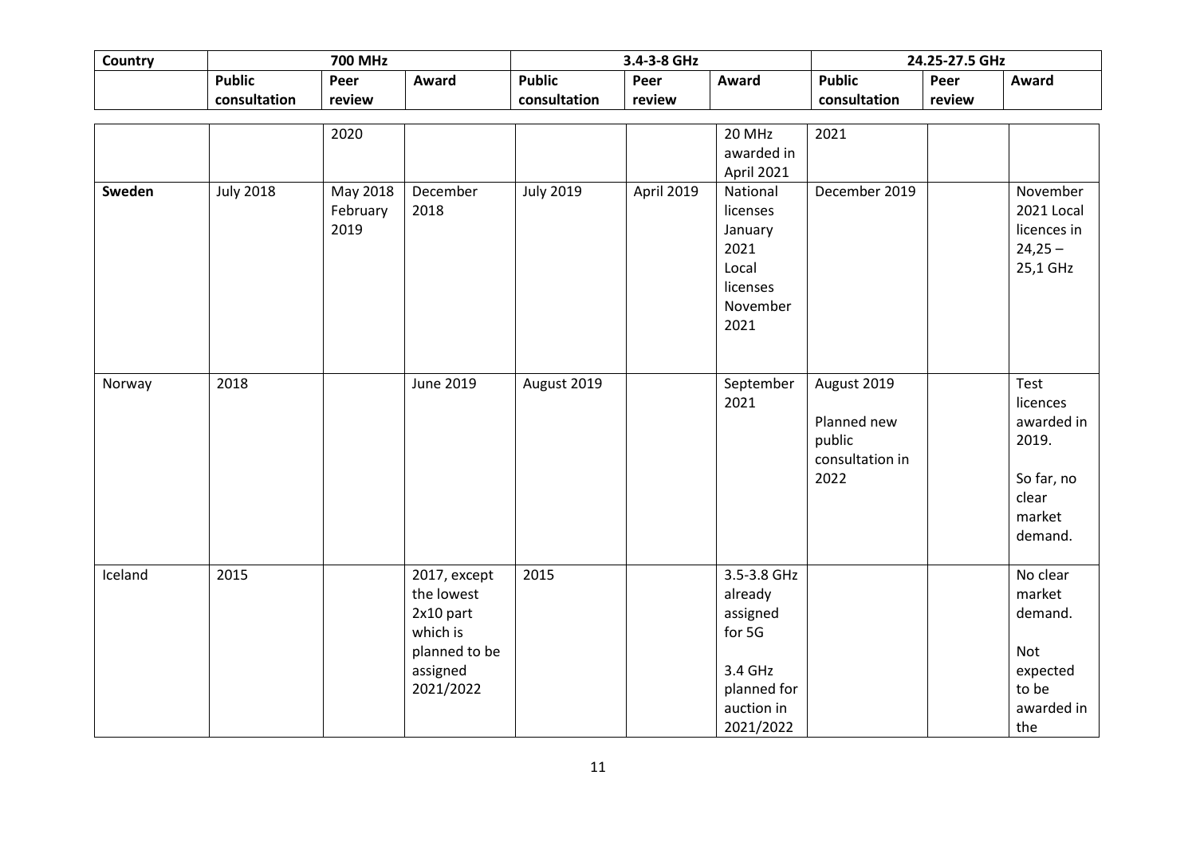| Country | <b>700 MHz</b>                |                              |                                                                                               |                               | 3.4-3-8 GHz<br>24.25-27.5 GHz |                                                                                                   |                                                                 |                |                                                                                     |
|---------|-------------------------------|------------------------------|-----------------------------------------------------------------------------------------------|-------------------------------|-------------------------------|---------------------------------------------------------------------------------------------------|-----------------------------------------------------------------|----------------|-------------------------------------------------------------------------------------|
|         | <b>Public</b><br>consultation | Peer<br>review               | Award                                                                                         | <b>Public</b><br>consultation | Peer<br>review                | Award                                                                                             | <b>Public</b><br>consultation                                   | Peer<br>review | Award                                                                               |
|         |                               | 2020                         |                                                                                               |                               |                               | 20 MHz<br>awarded in<br>April 2021                                                                | 2021                                                            |                |                                                                                     |
| Sweden  | <b>July 2018</b>              | May 2018<br>February<br>2019 | December<br>2018                                                                              | <b>July 2019</b>              | April 2019                    | National<br>licenses<br>January<br>2021<br>Local<br>licenses<br>November<br>2021                  | December 2019                                                   |                | November<br>2021 Local<br>licences in<br>$24,25 -$<br>25,1 GHz                      |
| Norway  | 2018                          |                              | June 2019                                                                                     | August 2019                   |                               | September<br>2021                                                                                 | August 2019<br>Planned new<br>public<br>consultation in<br>2022 |                | Test<br>licences<br>awarded in<br>2019.<br>So far, no<br>clear<br>market<br>demand. |
| Iceland | 2015                          |                              | 2017, except<br>the lowest<br>2x10 part<br>which is<br>planned to be<br>assigned<br>2021/2022 | 2015                          |                               | 3.5-3.8 GHz<br>already<br>assigned<br>for 5G<br>3.4 GHz<br>planned for<br>auction in<br>2021/2022 |                                                                 |                | No clear<br>market<br>demand.<br>Not<br>expected<br>to be<br>awarded in<br>the      |